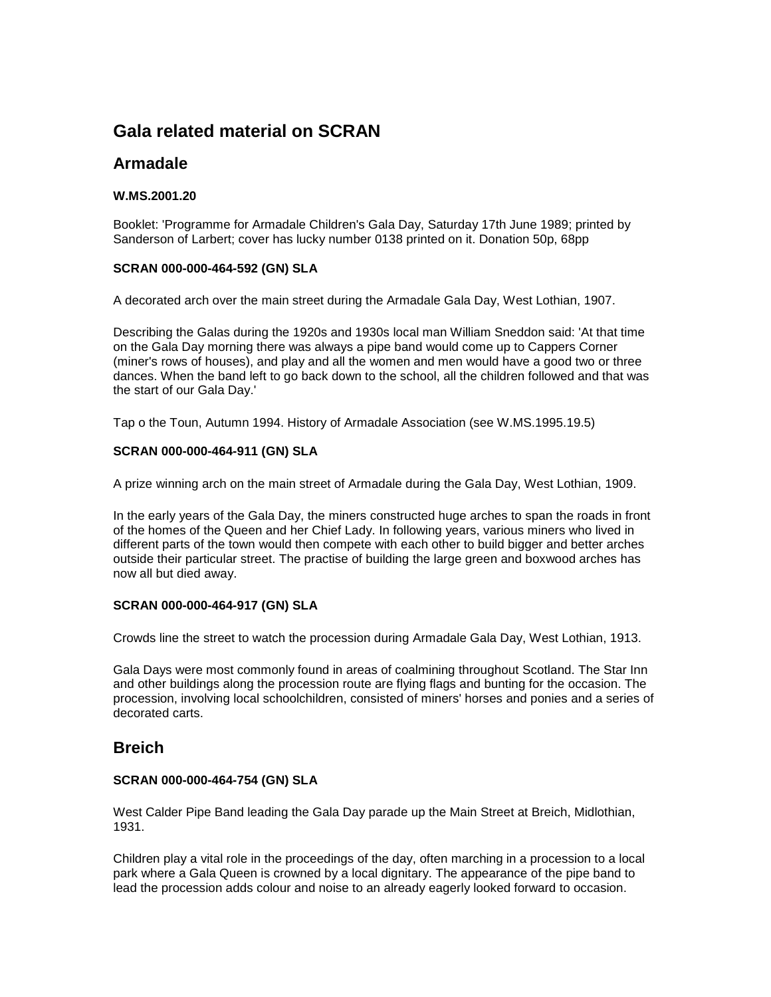# **Gala related material on SCRAN**

## **Armadale**

### **W.MS.2001.20**

Booklet: 'Programme for Armadale Children's Gala Day, Saturday 17th June 1989; printed by Sanderson of Larbert; cover has lucky number 0138 printed on it. Donation 50p, 68pp

### **SCRAN 000-000-464-592 (GN) SLA**

A decorated arch over the main street during the Armadale Gala Day, West Lothian, 1907.

Describing the Galas during the 1920s and 1930s local man William Sneddon said: 'At that time on the Gala Day morning there was always a pipe band would come up to Cappers Corner (miner's rows of houses), and play and all the women and men would have a good two or three dances. When the band left to go back down to the school, all the children followed and that was the start of our Gala Day.'

Tap o the Toun, Autumn 1994. History of Armadale Association (see W.MS.1995.19.5)

### **SCRAN 000-000-464-911 (GN) SLA**

A prize winning arch on the main street of Armadale during the Gala Day, West Lothian, 1909.

In the early years of the Gala Day, the miners constructed huge arches to span the roads in front of the homes of the Queen and her Chief Lady. In following years, various miners who lived in different parts of the town would then compete with each other to build bigger and better arches outside their particular street. The practise of building the large green and boxwood arches has now all but died away.

### **SCRAN 000-000-464-917 (GN) SLA**

Crowds line the street to watch the procession during Armadale Gala Day, West Lothian, 1913.

Gala Days were most commonly found in areas of coalmining throughout Scotland. The Star Inn and other buildings along the procession route are flying flags and bunting for the occasion. The procession, involving local schoolchildren, consisted of miners' horses and ponies and a series of decorated carts.

## **Breich**

#### **SCRAN 000-000-464-754 (GN) SLA**

West Calder Pipe Band leading the Gala Day parade up the Main Street at Breich, Midlothian, 1931.

Children play a vital role in the proceedings of the day, often marching in a procession to a local park where a Gala Queen is crowned by a local dignitary. The appearance of the pipe band to lead the procession adds colour and noise to an already eagerly looked forward to occasion.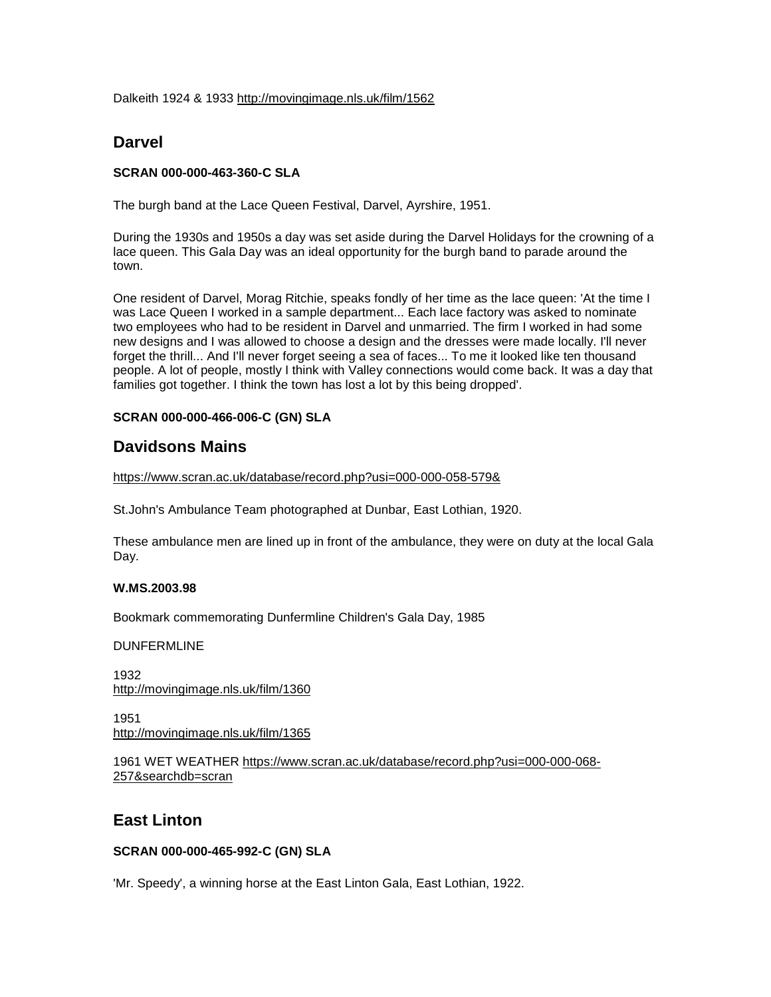Dalkeith 1924 & 1933<http://movingimage.nls.uk/film/1562>

## **Darvel**

### **SCRAN 000-000-463-360-C SLA**

The burgh band at the Lace Queen Festival, Darvel, Ayrshire, 1951.

During the 1930s and 1950s a day was set aside during the Darvel Holidays for the crowning of a lace queen. This Gala Day was an ideal opportunity for the burgh band to parade around the town.

One resident of Darvel, Morag Ritchie, speaks fondly of her time as the lace queen: 'At the time I was Lace Queen I worked in a sample department... Each lace factory was asked to nominate two employees who had to be resident in Darvel and unmarried. The firm I worked in had some new designs and I was allowed to choose a design and the dresses were made locally. I'll never forget the thrill... And I'll never forget seeing a sea of faces... To me it looked like ten thousand people. A lot of people, mostly I think with Valley connections would come back. It was a day that families got together. I think the town has lost a lot by this being dropped'.

### **SCRAN 000-000-466-006-C (GN) SLA**

## **Davidsons Mains**

<https://www.scran.ac.uk/database/record.php?usi=000-000-058-579&>

St.John's Ambulance Team photographed at Dunbar, East Lothian, 1920.

These ambulance men are lined up in front of the ambulance, they were on duty at the local Gala Day.

### **W.MS.2003.98**

Bookmark commemorating Dunfermline Children's Gala Day, 1985

DUNFERMLINE

1932 <http://movingimage.nls.uk/film/1360>

1951 <http://movingimage.nls.uk/film/1365>

1961 WET WEATHER [https://www.scran.ac.uk/database/record.php?usi=000-000-068-](https://www.scran.ac.uk/database/record.php?usi=000-000-068-257&searchdb=scran) [257&searchdb=scran](https://www.scran.ac.uk/database/record.php?usi=000-000-068-257&searchdb=scran)

## **East Linton**

### **SCRAN 000-000-465-992-C (GN) SLA**

'Mr. Speedy', a winning horse at the East Linton Gala, East Lothian, 1922.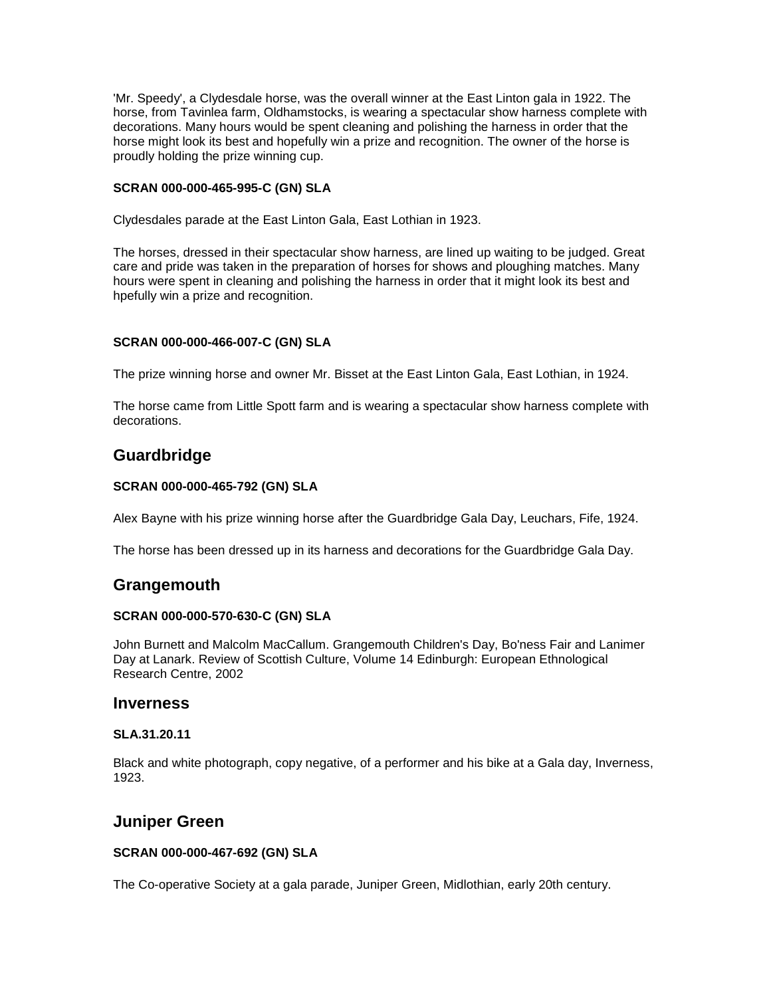'Mr. Speedy', a Clydesdale horse, was the overall winner at the East Linton gala in 1922. The horse, from Tavinlea farm, Oldhamstocks, is wearing a spectacular show harness complete with decorations. Many hours would be spent cleaning and polishing the harness in order that the horse might look its best and hopefully win a prize and recognition. The owner of the horse is proudly holding the prize winning cup.

### **SCRAN 000-000-465-995-C (GN) SLA**

Clydesdales parade at the East Linton Gala, East Lothian in 1923.

The horses, dressed in their spectacular show harness, are lined up waiting to be judged. Great care and pride was taken in the preparation of horses for shows and ploughing matches. Many hours were spent in cleaning and polishing the harness in order that it might look its best and hpefully win a prize and recognition.

#### **SCRAN 000-000-466-007-C (GN) SLA**

The prize winning horse and owner Mr. Bisset at the East Linton Gala, East Lothian, in 1924.

The horse came from Little Spott farm and is wearing a spectacular show harness complete with decorations.

## **Guardbridge**

#### **SCRAN 000-000-465-792 (GN) SLA**

Alex Bayne with his prize winning horse after the Guardbridge Gala Day, Leuchars, Fife, 1924.

The horse has been dressed up in its harness and decorations for the Guardbridge Gala Day.

## **Grangemouth**

#### **SCRAN 000-000-570-630-C (GN) SLA**

John Burnett and Malcolm MacCallum. Grangemouth Children's Day, Bo'ness Fair and Lanimer Day at Lanark. Review of Scottish Culture, Volume 14 Edinburgh: European Ethnological Research Centre, 2002

### **Inverness**

#### **SLA.31.20.11**

Black and white photograph, copy negative, of a performer and his bike at a Gala day, Inverness, 1923.

## **Juniper Green**

#### **SCRAN 000-000-467-692 (GN) SLA**

The Co-operative Society at a gala parade, Juniper Green, Midlothian, early 20th century.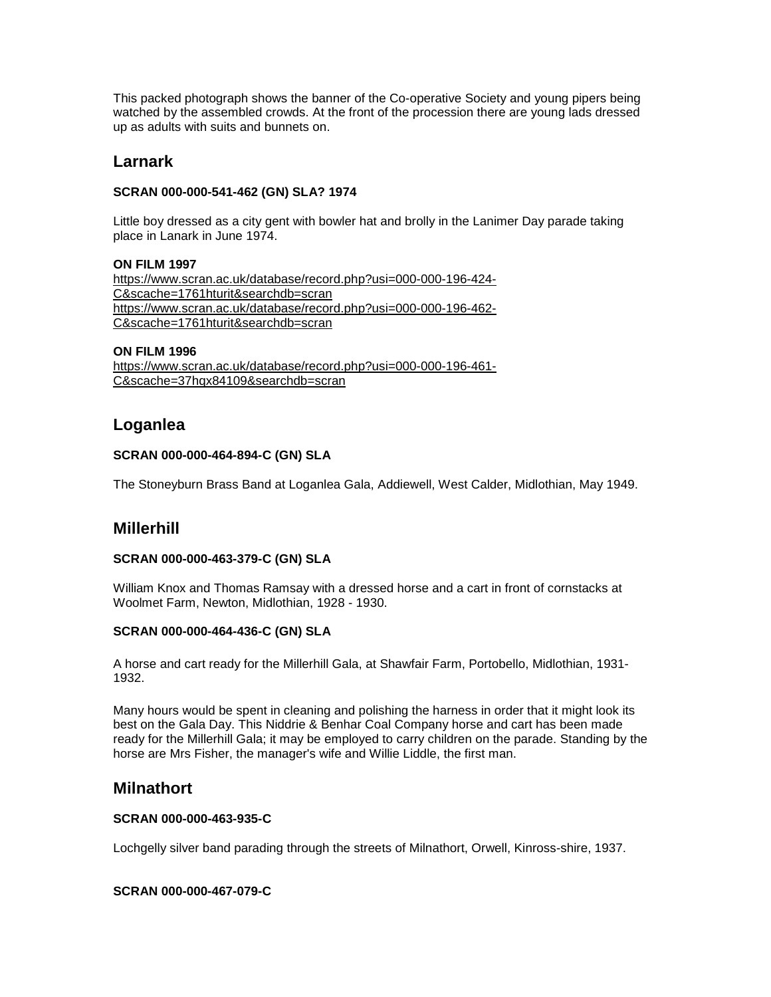This packed photograph shows the banner of the Co-operative Society and young pipers being watched by the assembled crowds. At the front of the procession there are young lads dressed up as adults with suits and bunnets on.

## **Larnark**

### **SCRAN 000-000-541-462 (GN) SLA? 1974**

Little boy dressed as a city gent with bowler hat and brolly in the Lanimer Day parade taking place in Lanark in June 1974.

### **ON FILM 1997**

[https://www.scran.ac.uk/database/record.php?usi=000-000-196-424-](https://www.scran.ac.uk/database/record.php?usi=000-000-196-424-C&scache=1761hturit&searchdb=scran) [C&scache=1761hturit&searchdb=scran](https://www.scran.ac.uk/database/record.php?usi=000-000-196-424-C&scache=1761hturit&searchdb=scran) [https://www.scran.ac.uk/database/record.php?usi=000-000-196-462-](https://www.scran.ac.uk/database/record.php?usi=000-000-196-462-C&scache=1761hturit&searchdb=scran) [C&scache=1761hturit&searchdb=scran](https://www.scran.ac.uk/database/record.php?usi=000-000-196-462-C&scache=1761hturit&searchdb=scran)

#### **ON FILM 1996**

[https://www.scran.ac.uk/database/record.php?usi=000-000-196-461-](https://www.scran.ac.uk/database/record.php?usi=000-000-196-461-C&scache=37hqx84109&searchdb=scran) [C&scache=37hqx84109&searchdb=scran](https://www.scran.ac.uk/database/record.php?usi=000-000-196-461-C&scache=37hqx84109&searchdb=scran)

## **Loganlea**

### **SCRAN 000-000-464-894-C (GN) SLA**

The Stoneyburn Brass Band at Loganlea Gala, Addiewell, West Calder, Midlothian, May 1949.

## **Millerhill**

### **SCRAN 000-000-463-379-C (GN) SLA**

William Knox and Thomas Ramsay with a dressed horse and a cart in front of cornstacks at Woolmet Farm, Newton, Midlothian, 1928 - 1930.

### **SCRAN 000-000-464-436-C (GN) SLA**

A horse and cart ready for the Millerhill Gala, at Shawfair Farm, Portobello, Midlothian, 1931- 1932.

Many hours would be spent in cleaning and polishing the harness in order that it might look its best on the Gala Day. This Niddrie & Benhar Coal Company horse and cart has been made ready for the Millerhill Gala; it may be employed to carry children on the parade. Standing by the horse are Mrs Fisher, the manager's wife and Willie Liddle, the first man.

## **Milnathort**

### **SCRAN 000-000-463-935-C**

Lochgelly silver band parading through the streets of Milnathort, Orwell, Kinross-shire, 1937.

#### **SCRAN 000-000-467-079-C**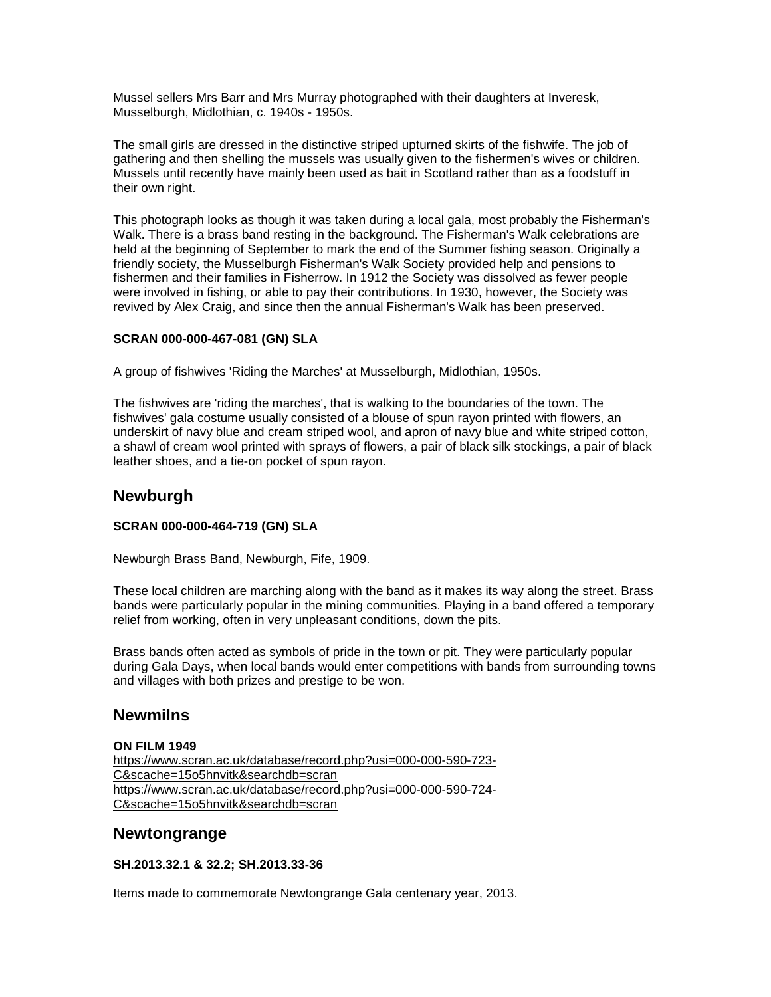Mussel sellers Mrs Barr and Mrs Murray photographed with their daughters at Inveresk, Musselburgh, Midlothian, c. 1940s - 1950s.

The small girls are dressed in the distinctive striped upturned skirts of the fishwife. The job of gathering and then shelling the mussels was usually given to the fishermen's wives or children. Mussels until recently have mainly been used as bait in Scotland rather than as a foodstuff in their own right.

This photograph looks as though it was taken during a local gala, most probably the Fisherman's Walk. There is a brass band resting in the background. The Fisherman's Walk celebrations are held at the beginning of September to mark the end of the Summer fishing season. Originally a friendly society, the Musselburgh Fisherman's Walk Society provided help and pensions to fishermen and their families in Fisherrow. In 1912 the Society was dissolved as fewer people were involved in fishing, or able to pay their contributions. In 1930, however, the Society was revived by Alex Craig, and since then the annual Fisherman's Walk has been preserved.

### **SCRAN 000-000-467-081 (GN) SLA**

A group of fishwives 'Riding the Marches' at Musselburgh, Midlothian, 1950s.

The fishwives are 'riding the marches', that is walking to the boundaries of the town. The fishwives' gala costume usually consisted of a blouse of spun rayon printed with flowers, an underskirt of navy blue and cream striped wool, and apron of navy blue and white striped cotton, a shawl of cream wool printed with sprays of flowers, a pair of black silk stockings, a pair of black leather shoes, and a tie-on pocket of spun rayon.

## **Newburgh**

#### **SCRAN 000-000-464-719 (GN) SLA**

Newburgh Brass Band, Newburgh, Fife, 1909.

These local children are marching along with the band as it makes its way along the street. Brass bands were particularly popular in the mining communities. Playing in a band offered a temporary relief from working, often in very unpleasant conditions, down the pits.

Brass bands often acted as symbols of pride in the town or pit. They were particularly popular during Gala Days, when local bands would enter competitions with bands from surrounding towns and villages with both prizes and prestige to be won.

## **Newmilns**

#### **ON FILM 1949**

[https://www.scran.ac.uk/database/record.php?usi=000-000-590-723-](https://www.scran.ac.uk/database/record.php?usi=000-000-590-723-C&scache=15o5hnvitk&searchdb=scran) [C&scache=15o5hnvitk&searchdb=scran](https://www.scran.ac.uk/database/record.php?usi=000-000-590-723-C&scache=15o5hnvitk&searchdb=scran) [https://www.scran.ac.uk/database/record.php?usi=000-000-590-724-](https://www.scran.ac.uk/database/record.php?usi=000-000-590-724-C&scache=15o5hnvitk&searchdb=scran) [C&scache=15o5hnvitk&searchdb=scran](https://www.scran.ac.uk/database/record.php?usi=000-000-590-724-C&scache=15o5hnvitk&searchdb=scran)

## **Newtongrange**

**SH.2013.32.1 & 32.2; SH.2013.33-36**

Items made to commemorate Newtongrange Gala centenary year, 2013.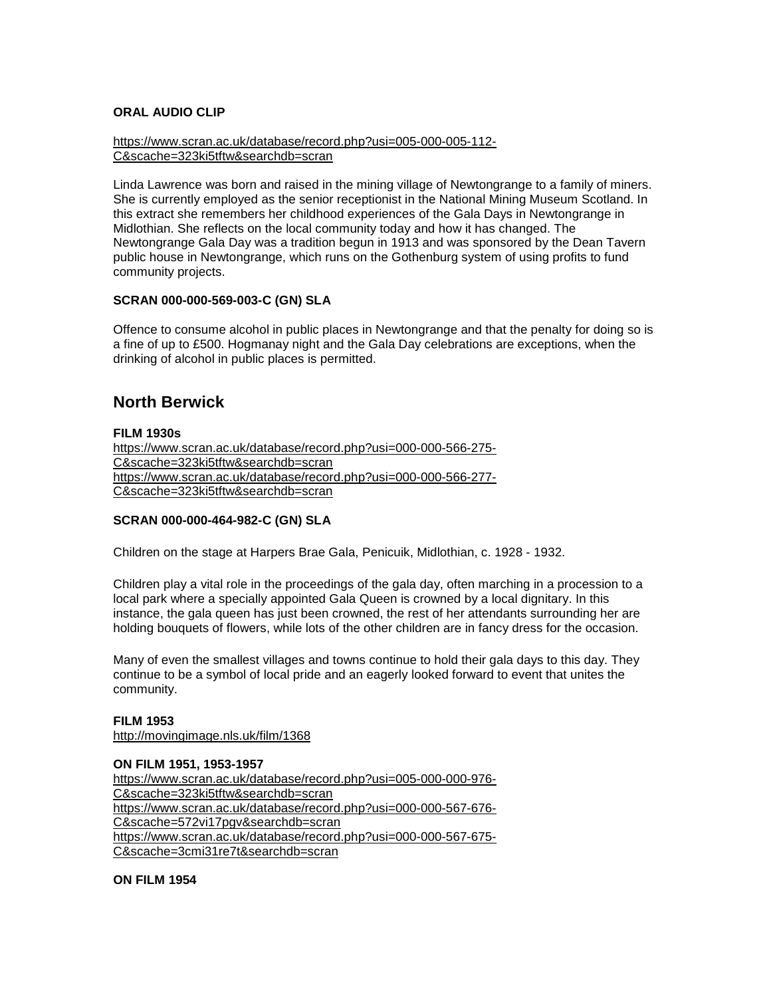#### **ORAL AUDIO CLIP**

[https://www.scran.ac.uk/database/record.php?usi=005-000-005-112-](https://www.scran.ac.uk/database/record.php?usi=005-000-005-112-C&scache=323ki5tftw&searchdb=scran) [C&scache=323ki5tftw&searchdb=scran](https://www.scran.ac.uk/database/record.php?usi=005-000-005-112-C&scache=323ki5tftw&searchdb=scran)

Linda Lawrence was born and raised in the mining village of Newtongrange to a family of miners. She is currently employed as the senior receptionist in the National Mining Museum Scotland. In this extract she remembers her childhood experiences of the Gala Days in Newtongrange in Midlothian. She reflects on the local community today and how it has changed. The Newtongrange Gala Day was a tradition begun in 1913 and was sponsored by the Dean Tavern public house in Newtongrange, which runs on the Gothenburg system of using profits to fund community projects.

#### **SCRAN 000-000-569-003-C (GN) SLA**

Offence to consume alcohol in public places in Newtongrange and that the penalty for doing so is a fine of up to £500. Hogmanay night and the Gala Day celebrations are exceptions, when the drinking of alcohol in public places is permitted.

## **North Berwick**

#### **FILM 1930s**

[https://www.scran.ac.uk/database/record.php?usi=000-000-566-275-](https://www.scran.ac.uk/database/record.php?usi=000-000-566-275-C&scache=323ki5tftw&searchdb=scran) [C&scache=323ki5tftw&searchdb=scran](https://www.scran.ac.uk/database/record.php?usi=000-000-566-275-C&scache=323ki5tftw&searchdb=scran) [https://www.scran.ac.uk/database/record.php?usi=000-000-566-277-](https://www.scran.ac.uk/database/record.php?usi=000-000-566-277-C&scache=323ki5tftw&searchdb=scran) [C&scache=323ki5tftw&searchdb=scran](https://www.scran.ac.uk/database/record.php?usi=000-000-566-277-C&scache=323ki5tftw&searchdb=scran)

#### **SCRAN 000-000-464-982-C (GN) SLA**

Children on the stage at Harpers Brae Gala, Penicuik, Midlothian, c. 1928 - 1932.

Children play a vital role in the proceedings of the gala day, often marching in a procession to a local park where a specially appointed Gala Queen is crowned by a local dignitary. In this instance, the gala queen has just been crowned, the rest of her attendants surrounding her are holding bouquets of flowers, while lots of the other children are in fancy dress for the occasion.

Many of even the smallest villages and towns continue to hold their gala days to this day. They continue to be a symbol of local pride and an eagerly looked forward to event that unites the community.

#### **FILM 1953**

<http://movingimage.nls.uk/film/1368>

#### **ON FILM 1951, 1953-1957**

[https://www.scran.ac.uk/database/record.php?usi=005-000-000-976-](https://www.scran.ac.uk/database/record.php?usi=005-000-000-976-C&scache=323ki5tftw&searchdb=scran) [C&scache=323ki5tftw&searchdb=scran](https://www.scran.ac.uk/database/record.php?usi=005-000-000-976-C&scache=323ki5tftw&searchdb=scran) [https://www.scran.ac.uk/database/record.php?usi=000-000-567-676-](https://www.scran.ac.uk/database/record.php?usi=000-000-567-676-C&scache=572vi17pgv&searchdb=scran) [C&scache=572vi17pgv&searchdb=scran](https://www.scran.ac.uk/database/record.php?usi=000-000-567-676-C&scache=572vi17pgv&searchdb=scran) [https://www.scran.ac.uk/database/record.php?usi=000-000-567-675-](https://www.scran.ac.uk/database/record.php?usi=000-000-567-675-C&scache=3cmi31re7t&searchdb=scran) [C&scache=3cmi31re7t&searchdb=scran](https://www.scran.ac.uk/database/record.php?usi=000-000-567-675-C&scache=3cmi31re7t&searchdb=scran)

**ON FILM 1954**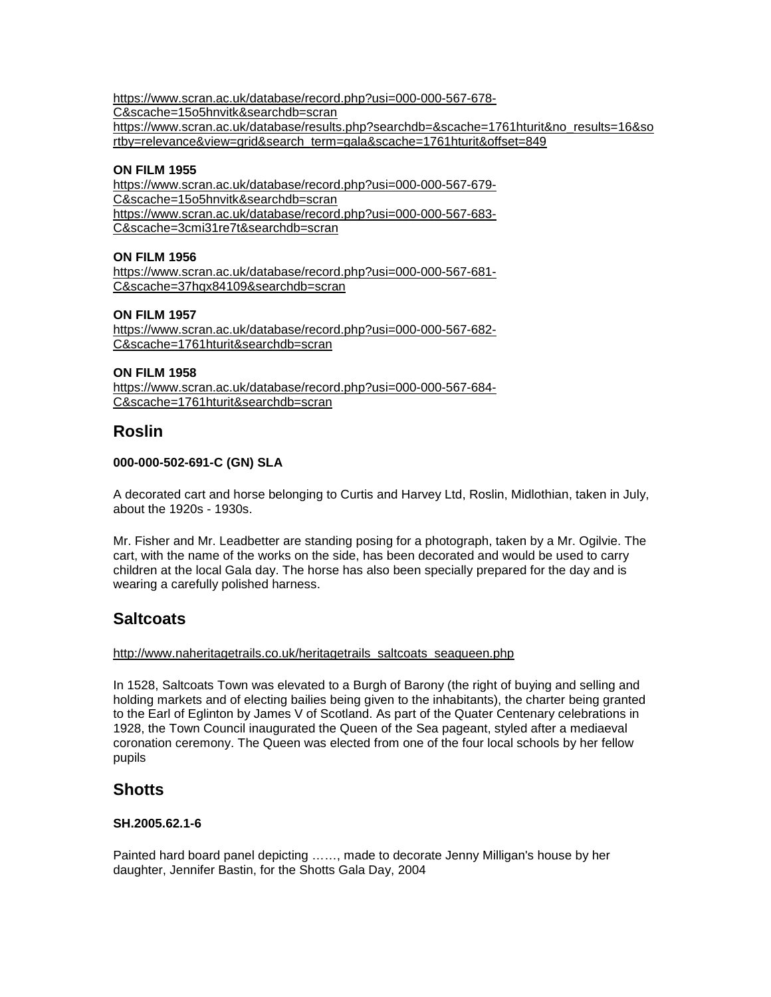[https://www.scran.ac.uk/database/record.php?usi=000-000-567-678-](https://www.scran.ac.uk/database/record.php?usi=000-000-567-678-C&scache=15o5hnvitk&searchdb=scran)

[C&scache=15o5hnvitk&searchdb=scran](https://www.scran.ac.uk/database/record.php?usi=000-000-567-678-C&scache=15o5hnvitk&searchdb=scran)

[https://www.scran.ac.uk/database/results.php?searchdb=&scache=1761hturit&no\\_results=16&so](https://www.scran.ac.uk/database/results.php?searchdb=&scache=1761hturit&no_results=16&sortby=relevance&view=grid&search_term=gala&scache=1761hturit&offset=849) [rtby=relevance&view=grid&search\\_term=gala&scache=1761hturit&offset=849](https://www.scran.ac.uk/database/results.php?searchdb=&scache=1761hturit&no_results=16&sortby=relevance&view=grid&search_term=gala&scache=1761hturit&offset=849)

### **ON FILM 1955**

[https://www.scran.ac.uk/database/record.php?usi=000-000-567-679-](https://www.scran.ac.uk/database/record.php?usi=000-000-567-679-C&scache=15o5hnvitk&searchdb=scran) [C&scache=15o5hnvitk&searchdb=scran](https://www.scran.ac.uk/database/record.php?usi=000-000-567-679-C&scache=15o5hnvitk&searchdb=scran) [https://www.scran.ac.uk/database/record.php?usi=000-000-567-683-](https://www.scran.ac.uk/database/record.php?usi=000-000-567-683-C&scache=3cmi31re7t&searchdb=scran) [C&scache=3cmi31re7t&searchdb=scran](https://www.scran.ac.uk/database/record.php?usi=000-000-567-683-C&scache=3cmi31re7t&searchdb=scran)

### **ON FILM 1956**

[https://www.scran.ac.uk/database/record.php?usi=000-000-567-681-](https://www.scran.ac.uk/database/record.php?usi=000-000-567-681-C&scache=37hqx84109&searchdb=scran) [C&scache=37hqx84109&searchdb=scran](https://www.scran.ac.uk/database/record.php?usi=000-000-567-681-C&scache=37hqx84109&searchdb=scran)

### **ON FILM 1957**

[https://www.scran.ac.uk/database/record.php?usi=000-000-567-682-](https://www.scran.ac.uk/database/record.php?usi=000-000-567-682-C&scache=1761hturit&searchdb=scran) [C&scache=1761hturit&searchdb=scran](https://www.scran.ac.uk/database/record.php?usi=000-000-567-682-C&scache=1761hturit&searchdb=scran)

### **ON FILM 1958**

[https://www.scran.ac.uk/database/record.php?usi=000-000-567-684-](https://www.scran.ac.uk/database/record.php?usi=000-000-567-684-C&scache=1761hturit&searchdb=scran) [C&scache=1761hturit&searchdb=scran](https://www.scran.ac.uk/database/record.php?usi=000-000-567-684-C&scache=1761hturit&searchdb=scran)

## **Roslin**

### **000-000-502-691-C (GN) SLA**

A decorated cart and horse belonging to Curtis and Harvey Ltd, Roslin, Midlothian, taken in July, about the 1920s - 1930s.

Mr. Fisher and Mr. Leadbetter are standing posing for a photograph, taken by a Mr. Ogilvie. The cart, with the name of the works on the side, has been decorated and would be used to carry children at the local Gala day. The horse has also been specially prepared for the day and is wearing a carefully polished harness.

# **Saltcoats**

#### [http://www.naheritagetrails.co.uk/heritagetrails\\_saltcoats\\_seaqueen.php](http://www.naheritagetrails.co.uk/heritagetrails_saltcoats_seaqueen.php)

In 1528, Saltcoats Town was elevated to a Burgh of Barony (the right of buying and selling and holding markets and of electing bailies being given to the inhabitants), the charter being granted to the Earl of Eglinton by James V of Scotland. As part of the Quater Centenary celebrations in 1928, the Town Council inaugurated the Queen of the Sea pageant, styled after a mediaeval coronation ceremony. The Queen was elected from one of the four local schools by her fellow pupils

## **Shotts**

### **SH.2005.62.1-6**

Painted hard board panel depicting ……, made to decorate Jenny Milligan's house by her daughter, Jennifer Bastin, for the Shotts Gala Day, 2004